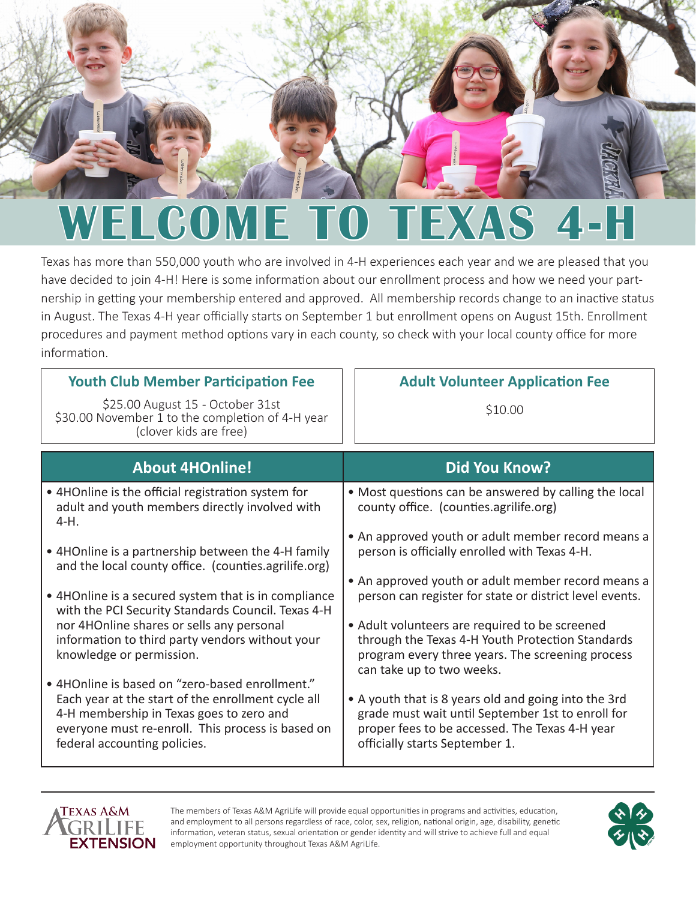

# **WELCOME TO TEXAS 4-H**

Texas has more than 550,000 youth who are involved in 4-H experiences each year and we are pleased that you have decided to join 4-H! Here is some information about our enrollment process and how we need your partnership in getting your membership entered and approved. All membership records change to an inactive status in August. The Texas 4-H year officially starts on September 1 but enrollment opens on August 15th. Enrollment procedures and payment method options vary in each county, so check with your local county office for more information.

| <b>Youth Club Member Participation Fee</b>                                                                                                                                                                                             | <b>Adult Volunteer Application Fee</b>                                                                                                                                                        |
|----------------------------------------------------------------------------------------------------------------------------------------------------------------------------------------------------------------------------------------|-----------------------------------------------------------------------------------------------------------------------------------------------------------------------------------------------|
| \$25.00 August 15 - October 31st<br>\$30.00 November 1 to the completion of 4-H year<br>(clover kids are free)                                                                                                                         | \$10.00                                                                                                                                                                                       |
| <b>About 4HOnline!</b>                                                                                                                                                                                                                 | <b>Did You Know?</b>                                                                                                                                                                          |
| • 4HOnline is the official registration system for<br>adult and youth members directly involved with<br>4-H.                                                                                                                           | • Most questions can be answered by calling the local<br>county office. (counties.agrilife.org)                                                                                               |
| • 4HOnline is a partnership between the 4-H family<br>and the local county office. (counties.agrilife.org)                                                                                                                             | • An approved youth or adult member record means a<br>person is officially enrolled with Texas 4-H.                                                                                           |
| • 4HOnline is a secured system that is in compliance<br>with the PCI Security Standards Council. Texas 4-H                                                                                                                             | • An approved youth or adult member record means a<br>person can register for state or district level events.                                                                                 |
| nor 4HOnline shares or sells any personal<br>information to third party vendors without your<br>knowledge or permission.                                                                                                               | • Adult volunteers are required to be screened<br>through the Texas 4-H Youth Protection Standards<br>program every three years. The screening process<br>can take up to two weeks.           |
| • 4HOnline is based on "zero-based enrollment."<br>Each year at the start of the enrollment cycle all<br>4-H membership in Texas goes to zero and<br>everyone must re-enroll. This process is based on<br>federal accounting policies. | • A youth that is 8 years old and going into the 3rd<br>grade must wait until September 1st to enroll for<br>proper fees to be accessed. The Texas 4-H year<br>officially starts September 1. |



The members of Texas A&M AgriLife will provide equal opportunities in programs and activities, education, and employment to all persons regardless of race, color, sex, religion, national origin, age, disability, genetic information, veteran status, sexual orientation or gender identity and will strive to achieve full and equal employment opportunity throughout Texas A&M AgriLife.